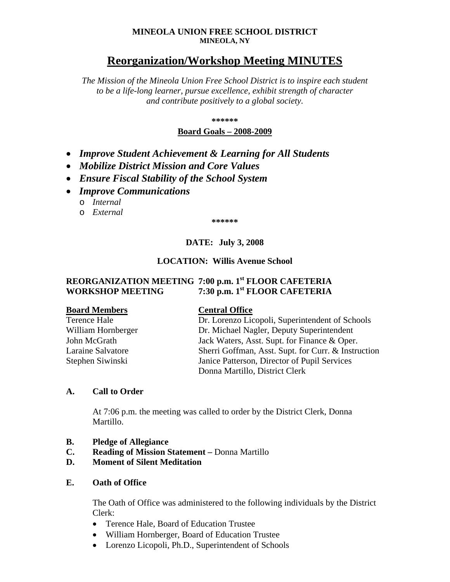#### **MINEOLA UNION FREE SCHOOL DISTRICT MINEOLA, NY**

# **Reorganization/Workshop Meeting MINUTES**

*The Mission of the Mineola Union Free School District is to inspire each student to be a life-long learner, pursue excellence, exhibit strength of character and contribute positively to a global society.*

**\*\*\*\*\*\***

#### **Board Goals – 2008-2009**

- *Improve Student Achievement & Learning for All Students*
- *Mobilize District Mission and Core Values*
- *Ensure Fiscal Stability of the School System*
- *Improve Communications*
	- o *Internal*
	- o *External*

**\*\*\*\*\*\***

# **DATE: July 3, 2008**

#### **LOCATION: Willis Avenue School**

## **REORGANIZATION MEETING 7:00 p.m. 1st FLOOR CAFETERIA WORKSHOP MEETING 7:30 p.m. 1st FLOOR CAFETERIA**

#### **Board Members Central Office**

| Terence Hale       | Dr. Lorenzo Licopoli, Superintendent of Schools     |
|--------------------|-----------------------------------------------------|
| William Hornberger | Dr. Michael Nagler, Deputy Superintendent           |
| John McGrath       | Jack Waters, Asst. Supt. for Finance & Oper.        |
| Laraine Salvatore  | Sherri Goffman, Asst. Supt. for Curr. & Instruction |
| Stephen Siwinski   | Janice Patterson, Director of Pupil Services        |
|                    | Donna Martillo, District Clerk                      |

#### **A. Call to Order**

At 7:06 p.m. the meeting was called to order by the District Clerk, Donna Martillo.

- **B. Pledge of Allegiance**
- **C. Reading of Mission Statement –** Donna Martillo
- **D. Moment of Silent Meditation**

### **E. Oath of Office**

The Oath of Office was administered to the following individuals by the District Clerk:

- Terence Hale, Board of Education Trustee
- William Hornberger, Board of Education Trustee
- Lorenzo Licopoli, Ph.D., Superintendent of Schools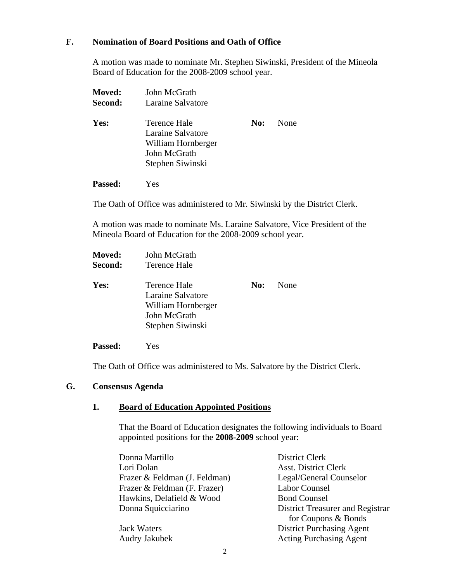#### **F. Nomination of Board Positions and Oath of Office**

A motion was made to nominate Mr. Stephen Siwinski, President of the Mineola Board of Education for the 2008-2009 school year.

| Moved:<br>Second: | John McGrath<br>Laraine Salvatore                                                           |     |      |
|-------------------|---------------------------------------------------------------------------------------------|-----|------|
| Yes:              | Terence Hale<br>Laraine Salvatore<br>William Hornberger<br>John McGrath<br>Stephen Siwinski | No: | None |
| Passed:           | Yes                                                                                         |     |      |

The Oath of Office was administered to Mr. Siwinski by the District Clerk.

A motion was made to nominate Ms. Laraine Salvatore, Vice President of the Mineola Board of Education for the 2008-2009 school year.

| Moved:  | John McGrath                                                                                |     |      |
|---------|---------------------------------------------------------------------------------------------|-----|------|
| Second: | Terence Hale                                                                                |     |      |
| Yes:    | Terence Hale<br>Laraine Salvatore<br>William Hornberger<br>John McGrath<br>Stephen Siwinski | No: | None |

**Passed:** Yes

The Oath of Office was administered to Ms. Salvatore by the District Clerk.

#### **G. Consensus Agenda**

## **1. Board of Education Appointed Positions**

That the Board of Education designates the following individuals to Board appointed positions for the **2008-2009** school year:

| Donna Martillo                | <b>District Clerk</b>            |
|-------------------------------|----------------------------------|
| Lori Dolan                    | <b>Asst. District Clerk</b>      |
| Frazer & Feldman (J. Feldman) | Legal/General Counselor          |
| Frazer & Feldman (F. Frazer)  | <b>Labor Counsel</b>             |
| Hawkins, Delafield & Wood     | <b>Bond Counsel</b>              |
| Donna Squicciarino            | District Treasurer and Registrar |
|                               | for Coupons & Bonds              |
| <b>Jack Waters</b>            | <b>District Purchasing Agent</b> |
| Audry Jakubek                 | <b>Acting Purchasing Agent</b>   |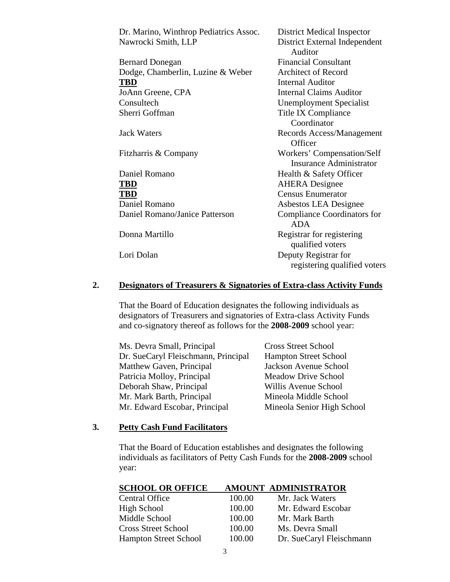| Dr. Marino, Winthrop Pediatrics Assoc. | <b>District Medical Inspector</b>  |
|----------------------------------------|------------------------------------|
| Nawrocki Smith, LLP                    | District External Independent      |
|                                        | Auditor                            |
| <b>Bernard Donegan</b>                 | <b>Financial Consultant</b>        |
| Dodge, Chamberlin, Luzine & Weber      | <b>Architect of Record</b>         |
| <b>TBD</b>                             | <b>Internal Auditor</b>            |
| JoAnn Greene, CPA                      | <b>Internal Claims Auditor</b>     |
| Consultech                             | <b>Unemployment Specialist</b>     |
| Sherri Goffman                         | Title IX Compliance                |
|                                        | Coordinator                        |
| <b>Jack Waters</b>                     | Records Access/Management          |
|                                        | Officer                            |
| Fitzharris & Company                   | Workers' Compensation/Self         |
|                                        | <b>Insurance Administrator</b>     |
| Daniel Romano                          | Health & Safety Officer            |
| <b>TBD</b>                             | <b>AHERA</b> Designee              |
| <b>TBD</b>                             | <b>Census Enumerator</b>           |
| Daniel Romano                          | Asbestos LEA Designee              |
| Daniel Romano/Janice Patterson         | <b>Compliance Coordinators for</b> |
|                                        | <b>ADA</b>                         |
| Donna Martillo                         | Registrar for registering          |
|                                        | qualified voters                   |
| Lori Dolan                             | Deputy Registrar for               |
|                                        | registering qualified voters       |
|                                        |                                    |

## **2. Designators of Treasurers & Signatories of Extra-class Activity Funds**

That the Board of Education designates the following individuals as designators of Treasurers and signatories of Extra-class Activity Funds and co-signatory thereof as follows for the **2008-2009** school year:

| Ms. Devra Small, Principal          | <b>Cross Street School</b>   |
|-------------------------------------|------------------------------|
| Dr. SueCaryl Fleischmann, Principal | <b>Hampton Street School</b> |
| Matthew Gaven, Principal            | Jackson Avenue School        |
| Patricia Molloy, Principal          | <b>Meadow Drive School</b>   |
| Deborah Shaw, Principal             | Willis Avenue School         |
| Mr. Mark Barth, Principal           | Mineola Middle School        |
| Mr. Edward Escobar, Principal       | Mineola Senior High School   |

#### **3. Petty Cash Fund Facilitators**

That the Board of Education establishes and designates the following individuals as facilitators of Petty Cash Funds for the **2008-2009** school year:

| <b>SCHOOL OR OFFICE</b>      |        | AMOUNT ADMINISTRATOR     |
|------------------------------|--------|--------------------------|
| <b>Central Office</b>        | 100.00 | Mr. Jack Waters          |
| High School                  | 100.00 | Mr. Edward Escobar       |
| Middle School                | 100.00 | Mr. Mark Barth           |
| <b>Cross Street School</b>   | 100.00 | Ms. Devra Small          |
| <b>Hampton Street School</b> | 100.00 | Dr. SueCaryl Fleischmann |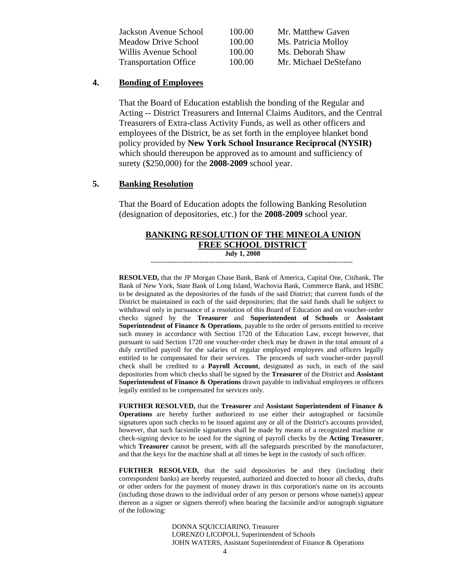| Jackson Avenue School        | 100.00 | Mr. Matthew Gaven     |
|------------------------------|--------|-----------------------|
| Meadow Drive School          | 100.00 | Ms. Patricia Molloy   |
| Willis Avenue School         | 100.00 | Ms. Deborah Shaw      |
| <b>Transportation Office</b> | 100.00 | Mr. Michael DeStefano |

#### **4. Bonding of Employees**

That the Board of Education establish the bonding of the Regular and Acting -- District Treasurers and Internal Claims Auditors, and the Central Treasurers of Extra-class Activity Funds, as well as other officers and employees of the District, be as set forth in the employee blanket bond policy provided by **New York School Insurance Reciprocal (NYSIR)** which should thereupon be approved as to amount and sufficiency of surety (\$250,000) for the **2008-2009** school year.

#### **5. Banking Resolution**

That the Board of Education adopts the following Banking Resolution (designation of depositories, etc.) for the **2008-2009** school year.

# **BANKING RESOLUTION OF THE MINEOLA UNION FREE SCHOOL DISTRICT**

#### **July 1, 2008**

---------------------------------------------------------------------------------------

**RESOLVED,** that the JP Morgan Chase Bank, Bank of America, Capital One, Citibank, The Bank of New York, State Bank of Long Island, Wachovia Bank, Commerce Bank, and HSBC to be designated as the depositories of the funds of the said District; that current funds of the District be maintained in each of the said depositories; that the said funds shall be subject to withdrawal only in pursuance of a resolution of this Board of Education and on voucher-order checks signed by the **Treasurer** and **Superintendent of Schools** or **Assistant Superintendent of Finance & Operations**, payable to the order of persons entitled to receive such money in accordance with Section 1720 of the Education Law, except however, that pursuant to said Section 1720 one voucher-order check may be drawn in the total amount of a duly certified payroll for the salaries of regular employed employees and officers legally entitled to be compensated for their services. The proceeds of such voucher-order payroll check shall be credited to a **Payroll Account**, designated as such, in each of the said depositories from which checks shall be signed by the **Treasurer** of the District and **Assistant Superintendent of Finance & Operations** drawn payable to individual employees or officers legally entitled to be compensated for services only.

**FURTHER RESOLVED,** that the **Treasurer** and **Assistant Superintendent of Finance & Operations** are hereby further authorized to use either their autographed or facsimile signatures upon such checks to be issued against any or all of the District's accounts provided, however, that such facsimile signatures shall be made by means of a recognized machine or check-signing device to be used for the signing of payroll checks by the **Acting Treasurer**, which **Treasurer** cannot be present, with all the safeguards prescribed by the manufacturer, and that the keys for the machine shall at all times be kept in the custody of such officer.

**FURTHER RESOLVED,** that the said depositories be and they (including their correspondent banks) are hereby requested, authorized and directed to honor all checks, drafts or other orders for the payment of money drawn in this corporation's name on its accounts (including those drawn to the individual order of any person or persons whose name(s) appear thereon as a signer or signers thereof) when bearing the facsimile and/or autograph signature of the following:

> DONNA SQUICCIARINO, Treasurer LORENZO LICOPOLI, Superintendent of Schools JOHN WATERS, Assistant Superintendent of Finance & Operations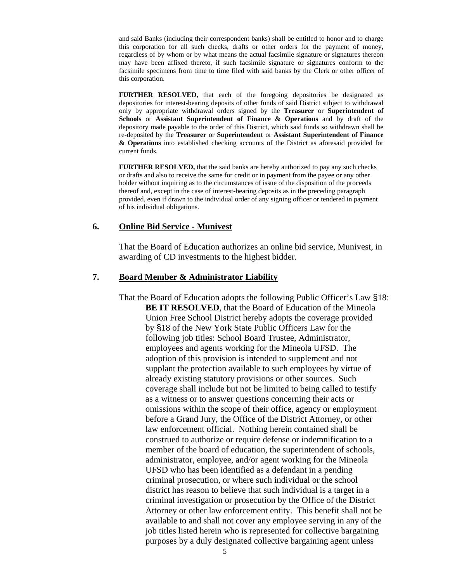and said Banks (including their correspondent banks) shall be entitled to honor and to charge this corporation for all such checks, drafts or other orders for the payment of money, regardless of by whom or by what means the actual facsimile signature or signatures thereon may have been affixed thereto, if such facsimile signature or signatures conform to the facsimile specimens from time to time filed with said banks by the Clerk or other officer of this corporation.

**FURTHER RESOLVED,** that each of the foregoing depositories be designated as depositories for interest-bearing deposits of other funds of said District subject to withdrawal only by appropriate withdrawal orders signed by the **Treasurer** or **Superintendent of Schools** or **Assistant Superintendent of Finance & Operations** and by draft of the depository made payable to the order of this District, which said funds so withdrawn shall be re-deposited by the **Treasurer** or **Superintendent** or **Assistant Superintendent of Finance & Operations** into established checking accounts of the District as aforesaid provided for current funds.

**FURTHER RESOLVED,** that the said banks are hereby authorized to pay any such checks or drafts and also to receive the same for credit or in payment from the payee or any other holder without inquiring as to the circumstances of issue of the disposition of the proceeds thereof and, except in the case of interest-bearing deposits as in the preceding paragraph provided, even if drawn to the individual order of any signing officer or tendered in payment of his individual obligations.

#### **6. Online Bid Service - Munivest**

That the Board of Education authorizes an online bid service, Munivest, in awarding of CD investments to the highest bidder.

#### **7. Board Member & Administrator Liability**

That the Board of Education adopts the following Public Officer's Law §18: **BE IT RESOLVED**, that the Board of Education of the Mineola Union Free School District hereby adopts the coverage provided by §18 of the New York State Public Officers Law for the following job titles: School Board Trustee, Administrator, employees and agents working for the Mineola UFSD. The adoption of this provision is intended to supplement and not supplant the protection available to such employees by virtue of already existing statutory provisions or other sources. Such coverage shall include but not be limited to being called to testify as a witness or to answer questions concerning their acts or omissions within the scope of their office, agency or employment before a Grand Jury, the Office of the District Attorney, or other law enforcement official. Nothing herein contained shall be construed to authorize or require defense or indemnification to a member of the board of education, the superintendent of schools, administrator, employee, and/or agent working for the Mineola UFSD who has been identified as a defendant in a pending criminal prosecution, or where such individual or the school district has reason to believe that such individual is a target in a criminal investigation or prosecution by the Office of the District Attorney or other law enforcement entity. This benefit shall not be available to and shall not cover any employee serving in any of the job titles listed herein who is represented for collective bargaining purposes by a duly designated collective bargaining agent unless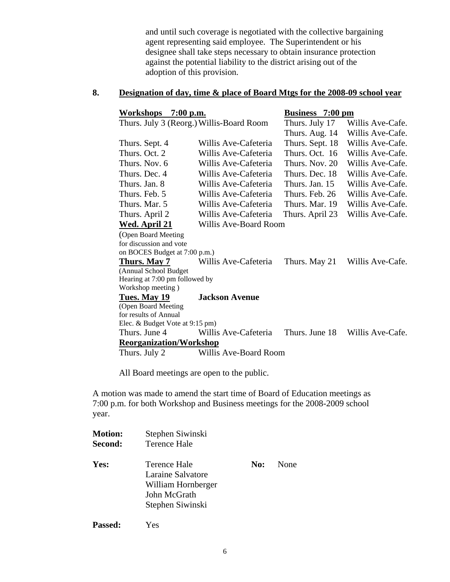and until such coverage is negotiated with the collective bargaining agent representing said employee. The Superintendent or his designee shall take steps necessary to obtain insurance protection against the potential liability to the district arising out of the adoption of this provision.

## **8. Designation of day, time & place of Board Mtgs for the 2008-09 school year**

| <b>Workshops</b><br>$7:00$ p.m.   |                                          | <b>Business</b> 7:00 pm |                  |
|-----------------------------------|------------------------------------------|-------------------------|------------------|
|                                   | Thurs. July 3 (Reorg.) Willis-Board Room | Thurs. July 17          | Willis Ave-Cafe. |
|                                   |                                          | Thurs. Aug. 14          | Willis Ave-Cafe. |
| Thurs. Sept. 4                    | Willis Ave-Cafeteria                     | Thurs. Sept. 18         | Willis Ave-Cafe. |
| Thurs. Oct. 2                     | Willis Ave-Cafeteria                     | Thurs, Oct. 16          | Willis Ave-Cafe. |
| Thurs, Nov. 6                     | Willis Ave-Cafeteria                     | Thurs. Nov. 20          | Willis Ave-Cafe. |
| Thurs. Dec. 4                     | Willis Ave-Cafeteria                     | Thurs. Dec. 18          | Willis Ave-Cafe. |
| Thurs. Jan. 8                     | Willis Ave-Cafeteria                     | Thurs. Jan. 15          | Willis Ave-Cafe. |
| Thurs. Feb. 5                     | Willis Ave-Cafeteria                     | Thurs. Feb. 26          | Willis Ave-Cafe. |
| Thurs. Mar. 5                     | Willis Ave-Cafeteria                     | Thurs, Mar. 19          | Willis Ave-Cafe. |
| Thurs. April 2                    | Willis Ave-Cafeteria                     | Thurs. April 23         | Willis Ave-Cafe. |
| <u>Wed. April 21</u>              | Willis Ave-Board Room                    |                         |                  |
| (Open Board Meeting               |                                          |                         |                  |
| for discussion and vote           |                                          |                         |                  |
| on BOCES Budget at 7:00 p.m.)     |                                          |                         |                  |
| Thurs. May 7                      | Willis Ave-Cafeteria                     | Thurs. May 21           | Willis Ave-Cafe. |
| (Annual School Budget             |                                          |                         |                  |
| Hearing at 7:00 pm followed by    |                                          |                         |                  |
| Workshop meeting)<br>Tues. May 19 | <b>Jackson Avenue</b>                    |                         |                  |
| (Open Board Meeting               |                                          |                         |                  |
| for results of Annual             |                                          |                         |                  |
| Elec. & Budget Vote at 9:15 pm)   |                                          |                         |                  |
| Thurs. June 4                     | Willis Ave-Cafeteria                     | Thurs. June 18          | Willis Ave-Cafe. |
| <b>Reorganization/Workshop</b>    |                                          |                         |                  |
| Thurs. July 2                     | Willis Ave-Board Room                    |                         |                  |

All Board meetings are open to the public.

A motion was made to amend the start time of Board of Education meetings as 7:00 p.m. for both Workshop and Business meetings for the 2008-2009 school year.

| <b>Motion:</b> | Stephen Siwinski                                                                            |     |      |
|----------------|---------------------------------------------------------------------------------------------|-----|------|
| Second:        | Terence Hale                                                                                |     |      |
| Yes:           | Terence Hale<br>Laraine Salvatore<br>William Hornberger<br>John McGrath<br>Stephen Siwinski | No: | None |

**Passed:** Yes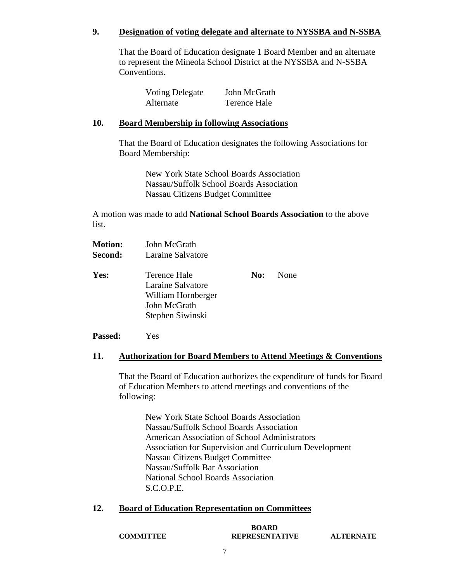## **9. Designation of voting delegate and alternate to NYSSBA and N-SSBA**

That the Board of Education designate 1 Board Member and an alternate to represent the Mineola School District at the NYSSBA and N-SSBA Conventions.

| <b>Voting Delegate</b> | John McGrath |
|------------------------|--------------|
| Alternate              | Terence Hale |

#### **10. Board Membership in following Associations**

That the Board of Education designates the following Associations for Board Membership:

> New York State School Boards Association Nassau/Suffolk School Boards Association Nassau Citizens Budget Committee

A motion was made to add **National School Boards Association** to the above list.

| <b>Motion:</b> | John McGrath                                                                                |     |      |
|----------------|---------------------------------------------------------------------------------------------|-----|------|
| Second:        | Laraine Salvatore                                                                           |     |      |
| Yes:           | Terence Hale<br>Laraine Salvatore<br>William Hornberger<br>John McGrath<br>Stephen Siwinski | No: | None |
|                |                                                                                             |     |      |

**Passed:** Yes

#### **11. Authorization for Board Members to Attend Meetings & Conventions**

That the Board of Education authorizes the expenditure of funds for Board of Education Members to attend meetings and conventions of the following:

New York State School Boards Association Nassau/Suffolk School Boards Association American Association of School Administrators Association for Supervision and Curriculum Development Nassau Citizens Budget Committee Nassau/Suffolk Bar Association National School Boards Association S.C.O.P.E.

#### **12. Board of Education Representation on Committees**

**BOARD COMMITTEE REPRESENTATIVE ALTERNATE**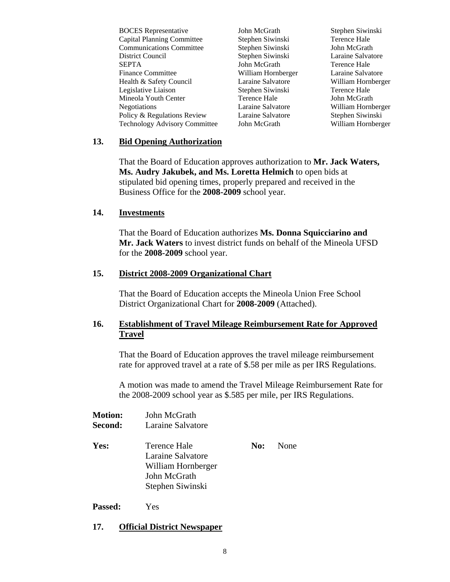BOCES Representative  $John McGrath$  Stephen Siwinski Capital Planning Committee Stephen Siwinski Terence Hale Communications Committee Stephen Siwinski John McGrath District Council Stephen Siwinski Laraine Salvatore Finance Committee William Hornberger Laraine Salvatore Health & Safety Council Laraine Salvatore William Hornberger Legislative Liaison Stephen Siwinski Terence Hale Mineola Youth Center Terence Hale John McGrath Negotiations Laraine Salvatore William Hornberger Policy & Regulations Review Laraine Salvatore Stephen Siwinski Technology Advisory Committee John McGrath William Hornberger

John McGrath Terence Hale

#### **13. Bid Opening Authorization**

That the Board of Education approves authorization to **Mr. Jack Waters, Ms. Audry Jakubek, and Ms. Loretta Helmich** to open bids at stipulated bid opening times, properly prepared and received in the Business Office for the **2008-2009** school year.

#### **14. Investments**

That the Board of Education authorizes **Ms. Donna Squicciarino and Mr. Jack Waters** to invest district funds on behalf of the Mineola UFSD for the **2008-2009** school year.

#### **15. District 2008-2009 Organizational Chart**

That the Board of Education accepts the Mineola Union Free School District Organizational Chart for **2008-2009** (Attached).

## **16. Establishment of Travel Mileage Reimbursement Rate for Approved Travel**

That the Board of Education approves the travel mileage reimbursement rate for approved travel at a rate of \$.58 per mile as per IRS Regulations.

A motion was made to amend the Travel Mileage Reimbursement Rate for the 2008-2009 school year as \$.585 per mile, per IRS Regulations.

| John McGrath       |     |      |
|--------------------|-----|------|
| Laraine Salvatore  |     |      |
| Terence Hale       | No: | None |
| Laraine Salvatore  |     |      |
| William Hornberger |     |      |
| John McGrath       |     |      |
| Stephen Siwinski   |     |      |
|                    |     |      |

#### **Passed:** Yes

#### **17. Official District Newspaper**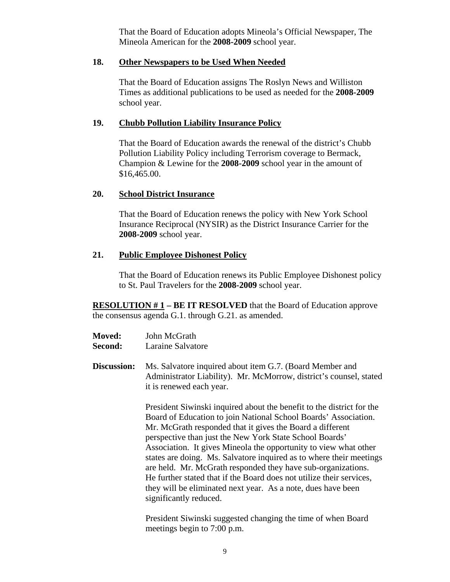That the Board of Education adopts Mineola's Official Newspaper, The Mineola American for the **2008-2009** school year.

#### **18. Other Newspapers to be Used When Needed**

That the Board of Education assigns The Roslyn News and Williston Times as additional publications to be used as needed for the **2008-2009** school year.

## **19. Chubb Pollution Liability Insurance Policy**

That the Board of Education awards the renewal of the district's Chubb Pollution Liability Policy including Terrorism coverage to Bermack, Champion & Lewine for the **2008-2009** school year in the amount of \$16,465.00.

#### **20. School District Insurance**

That the Board of Education renews the policy with New York School Insurance Reciprocal (NYSIR) as the District Insurance Carrier for the **2008-2009** school year.

## **21. Public Employee Dishonest Policy**

That the Board of Education renews its Public Employee Dishonest policy to St. Paul Travelers for the **2008-2009** school year.

**RESOLUTION # 1 – BE IT RESOLVED** that the Board of Education approve the consensus agenda G.1. through G.21. as amended.

| <b>Moved:</b> | John McGrath      |
|---------------|-------------------|
| Second:       | Laraine Salvatore |

**Discussion:** Ms. Salvatore inquired about item G.7. (Board Member and Administrator Liability). Mr. McMorrow, district's counsel, stated it is renewed each year.

> President Siwinski inquired about the benefit to the district for the Board of Education to join National School Boards' Association. Mr. McGrath responded that it gives the Board a different perspective than just the New York State School Boards' Association. It gives Mineola the opportunity to view what other states are doing. Ms. Salvatore inquired as to where their meetings are held. Mr. McGrath responded they have sub-organizations. He further stated that if the Board does not utilize their services, they will be eliminated next year. As a note, dues have been significantly reduced.

President Siwinski suggested changing the time of when Board meetings begin to 7:00 p.m.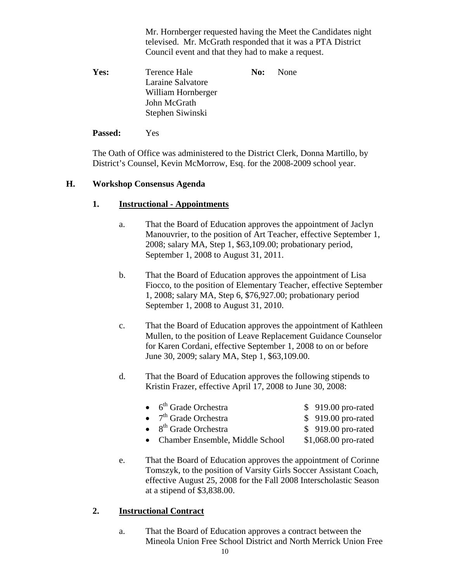Mr. Hornberger requested having the Meet the Candidates night televised. Mr. McGrath responded that it was a PTA District Council event and that they had to make a request.

**Yes:** Terence Hale **No:** None Laraine Salvatore William Hornberger John McGrath Stephen Siwinski

## **Passed:** Yes

The Oath of Office was administered to the District Clerk, Donna Martillo, by District's Counsel, Kevin McMorrow, Esq. for the 2008-2009 school year.

# **H. Workshop Consensus Agenda**

# **1. Instructional - Appointments**

- a. That the Board of Education approves the appointment of Jaclyn Manouvrier, to the position of Art Teacher, effective September 1, 2008; salary MA, Step 1, \$63,109.00; probationary period, September 1, 2008 to August 31, 2011.
- b. That the Board of Education approves the appointment of Lisa Fiocco, to the position of Elementary Teacher, effective September 1, 2008; salary MA, Step 6, \$76,927.00; probationary period September 1, 2008 to August 31, 2010.
- c. That the Board of Education approves the appointment of Kathleen Mullen, to the position of Leave Replacement Guidance Counselor for Karen Cordani, effective September 1, 2008 to on or before June 30, 2009; salary MA, Step 1, \$63,109.00.
- d. That the Board of Education approves the following stipends to Kristin Frazer, effective April 17, 2008 to June 30, 2008:

| $\bullet$ 6 <sup>th</sup> Grade Orchestra | \$919.00 pro-rated   |
|-------------------------------------------|----------------------|
| $\bullet$ 7 <sup>th</sup> Grade Orchestra | \$919.00 pro-rated   |
| $\bullet$ 8 <sup>th</sup> Grade Orchestra | \$919.00 pro-rated   |
| • Chamber Ensemble, Middle School         | \$1,068.00 pro-rated |

e. That the Board of Education approves the appointment of Corinne Tomszyk, to the position of Varsity Girls Soccer Assistant Coach, effective August 25, 2008 for the Fall 2008 Interscholastic Season at a stipend of \$3,838.00.

# **2. Instructional Contract**

a. That the Board of Education approves a contract between the Mineola Union Free School District and North Merrick Union Free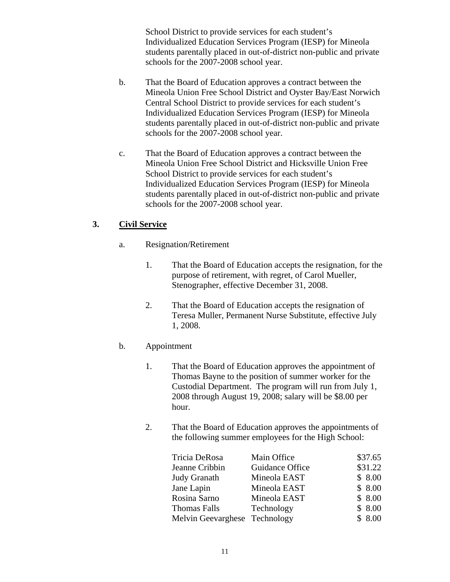School District to provide services for each student's Individualized Education Services Program (IESP) for Mineola students parentally placed in out-of-district non-public and private schools for the 2007-2008 school year.

- b. That the Board of Education approves a contract between the Mineola Union Free School District and Oyster Bay/East Norwich Central School District to provide services for each student's Individualized Education Services Program (IESP) for Mineola students parentally placed in out-of-district non-public and private schools for the 2007-2008 school year.
- c. That the Board of Education approves a contract between the Mineola Union Free School District and Hicksville Union Free School District to provide services for each student's Individualized Education Services Program (IESP) for Mineola students parentally placed in out-of-district non-public and private schools for the 2007-2008 school year.

# **3. Civil Service**

- a. Resignation/Retirement
	- 1. That the Board of Education accepts the resignation, for the purpose of retirement, with regret, of Carol Mueller, Stenographer, effective December 31, 2008.
	- 2. That the Board of Education accepts the resignation of Teresa Muller, Permanent Nurse Substitute, effective July 1, 2008.

# b. Appointment

- 1. That the Board of Education approves the appointment of Thomas Bayne to the position of summer worker for the Custodial Department. The program will run from July 1, 2008 through August 19, 2008; salary will be \$8.00 per hour.
- 2. That the Board of Education approves the appointments of the following summer employees for the High School:

| Tricia DeRosa                 | Main Office     | \$37.65 |
|-------------------------------|-----------------|---------|
| Jeanne Cribbin                | Guidance Office | \$31.22 |
| Judy Granath                  | Mineola EAST    | \$8.00  |
| Jane Lapin                    | Mineola EAST    | \$8.00  |
| Rosina Sarno                  | Mineola EAST    | \$8.00  |
| Thomas Falls                  | Technology      | \$8.00  |
| Melvin Geevarghese Technology |                 | \$8.00  |
|                               |                 |         |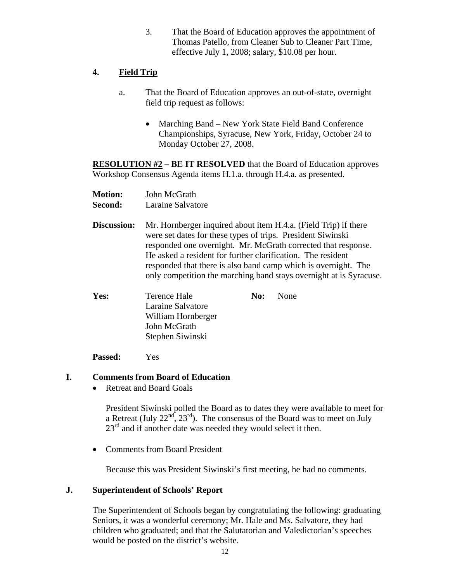3. That the Board of Education approves the appointment of Thomas Patello, from Cleaner Sub to Cleaner Part Time, effective July 1, 2008; salary, \$10.08 per hour.

# **4. Field Trip**

- a. That the Board of Education approves an out-of-state, overnight field trip request as follows:
	- Marching Band New York State Field Band Conference Championships, Syracuse, New York, Friday, October 24 to Monday October 27, 2008.

**RESOLUTION #2 – BE IT RESOLVED** that the Board of Education approves Workshop Consensus Agenda items H.1.a. through H.4.a. as presented.

| <b>Motion:</b> | John McGrath |
|----------------|--------------|
|                |              |

**Second:** Laraine Salvatore

**Discussion:** Mr. Hornberger inquired about item H.4.a. (Field Trip) if there were set dates for these types of trips. President Siwinski responded one overnight. Mr. McGrath corrected that response. He asked a resident for further clarification. The resident responded that there is also band camp which is overnight. The only competition the marching band stays overnight at is Syracuse.

| Yes: | Terence Hale       | <b>No:</b> None |
|------|--------------------|-----------------|
|      | Laraine Salvatore  |                 |
|      | William Hornberger |                 |
|      | John McGrath       |                 |
|      | Stephen Siwinski   |                 |
|      |                    |                 |

**Passed:** Yes

# **I. Comments from Board of Education**

• Retreat and Board Goals

President Siwinski polled the Board as to dates they were available to meet for a Retreat (July  $22<sup>nd</sup>$ ,  $23<sup>rd</sup>$ ). The consensus of the Board was to meet on July  $23<sup>rd</sup>$  and if another date was needed they would select it then.

• Comments from Board President

Because this was President Siwinski's first meeting, he had no comments.

# **J. Superintendent of Schools' Report**

The Superintendent of Schools began by congratulating the following: graduating Seniors, it was a wonderful ceremony; Mr. Hale and Ms. Salvatore, they had children who graduated; and that the Salutatorian and Valedictorian's speeches would be posted on the district's website.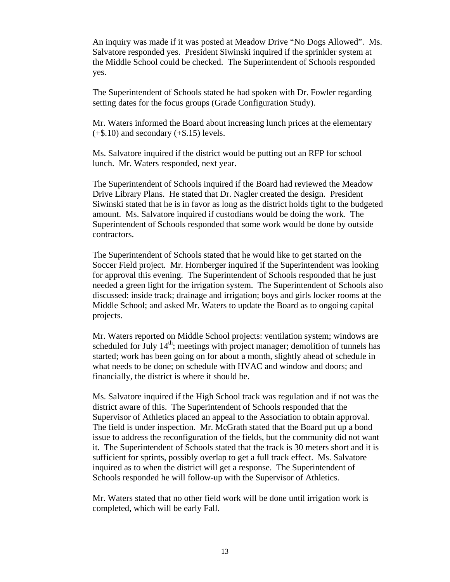An inquiry was made if it was posted at Meadow Drive "No Dogs Allowed". Ms. Salvatore responded yes. President Siwinski inquired if the sprinkler system at the Middle School could be checked. The Superintendent of Schools responded yes.

The Superintendent of Schools stated he had spoken with Dr. Fowler regarding setting dates for the focus groups (Grade Configuration Study).

Mr. Waters informed the Board about increasing lunch prices at the elementary  $(+\$.10)$  and secondary  $(+\$.15)$  levels.

Ms. Salvatore inquired if the district would be putting out an RFP for school lunch. Mr. Waters responded, next year.

The Superintendent of Schools inquired if the Board had reviewed the Meadow Drive Library Plans. He stated that Dr. Nagler created the design. President Siwinski stated that he is in favor as long as the district holds tight to the budgeted amount. Ms. Salvatore inquired if custodians would be doing the work. The Superintendent of Schools responded that some work would be done by outside contractors.

The Superintendent of Schools stated that he would like to get started on the Soccer Field project. Mr. Hornberger inquired if the Superintendent was looking for approval this evening. The Superintendent of Schools responded that he just needed a green light for the irrigation system. The Superintendent of Schools also discussed: inside track; drainage and irrigation; boys and girls locker rooms at the Middle School; and asked Mr. Waters to update the Board as to ongoing capital projects.

Mr. Waters reported on Middle School projects: ventilation system; windows are scheduled for July  $14<sup>th</sup>$ ; meetings with project manager; demolition of tunnels has started; work has been going on for about a month, slightly ahead of schedule in what needs to be done; on schedule with HVAC and window and doors; and financially, the district is where it should be.

Ms. Salvatore inquired if the High School track was regulation and if not was the district aware of this. The Superintendent of Schools responded that the Supervisor of Athletics placed an appeal to the Association to obtain approval. The field is under inspection. Mr. McGrath stated that the Board put up a bond issue to address the reconfiguration of the fields, but the community did not want it. The Superintendent of Schools stated that the track is 30 meters short and it is sufficient for sprints, possibly overlap to get a full track effect. Ms. Salvatore inquired as to when the district will get a response. The Superintendent of Schools responded he will follow-up with the Supervisor of Athletics.

Mr. Waters stated that no other field work will be done until irrigation work is completed, which will be early Fall.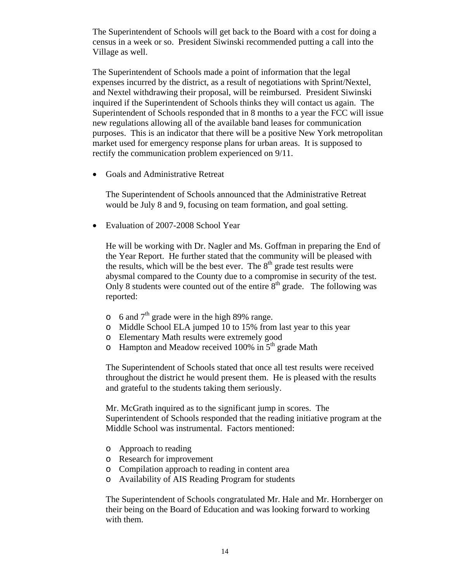The Superintendent of Schools will get back to the Board with a cost for doing a census in a week or so. President Siwinski recommended putting a call into the Village as well.

The Superintendent of Schools made a point of information that the legal expenses incurred by the district, as a result of negotiations with Sprint/Nextel, and Nextel withdrawing their proposal, will be reimbursed. President Siwinski inquired if the Superintendent of Schools thinks they will contact us again. The Superintendent of Schools responded that in 8 months to a year the FCC will issue new regulations allowing all of the available band leases for communication purposes. This is an indicator that there will be a positive New York metropolitan market used for emergency response plans for urban areas. It is supposed to rectify the communication problem experienced on 9/11.

• Goals and Administrative Retreat

The Superintendent of Schools announced that the Administrative Retreat would be July 8 and 9, focusing on team formation, and goal setting.

• Evaluation of 2007-2008 School Year

He will be working with Dr. Nagler and Ms. Goffman in preparing the End of the Year Report. He further stated that the community will be pleased with the results, which will be the best ever. The  $8<sup>th</sup>$  grade test results were abysmal compared to the County due to a compromise in security of the test. Only 8 students were counted out of the entire  $8<sup>th</sup>$  grade. The following was reported:

- $\circ$  6 and 7<sup>th</sup> grade were in the high 89% range.
- o Middle School ELA jumped 10 to 15% from last year to this year
- o Elementary Math results were extremely good
- $\circ$  Hampton and Meadow received 100% in 5<sup>th</sup> grade Math

The Superintendent of Schools stated that once all test results were received throughout the district he would present them. He is pleased with the results and grateful to the students taking them seriously.

Mr. McGrath inquired as to the significant jump in scores. The Superintendent of Schools responded that the reading initiative program at the Middle School was instrumental. Factors mentioned:

- o Approach to reading
- o Research for improvement
- o Compilation approach to reading in content area
- o Availability of AIS Reading Program for students

The Superintendent of Schools congratulated Mr. Hale and Mr. Hornberger on their being on the Board of Education and was looking forward to working with them.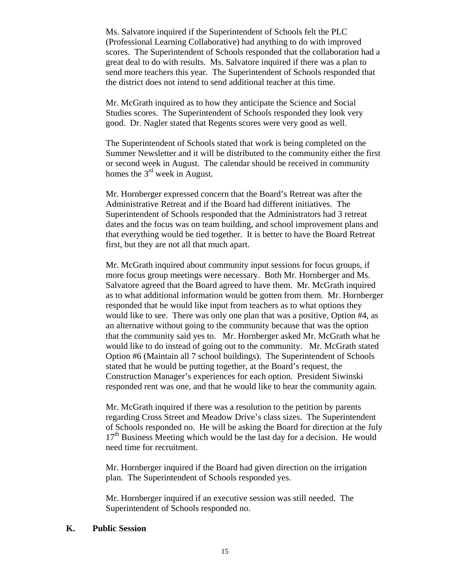Ms. Salvatore inquired if the Superintendent of Schools felt the PLC (Professional Learning Collaborative) had anything to do with improved scores. The Superintendent of Schools responded that the collaboration had a great deal to do with results. Ms. Salvatore inquired if there was a plan to send more teachers this year. The Superintendent of Schools responded that the district does not intend to send additional teacher at this time.

Mr. McGrath inquired as to how they anticipate the Science and Social Studies scores. The Superintendent of Schools responded they look very good. Dr. Nagler stated that Regents scores were very good as well.

The Superintendent of Schools stated that work is being completed on the Summer Newsletter and it will be distributed to the community either the first or second week in August. The calendar should be received in community homes the  $3<sup>rd</sup>$  week in August.

Mr. Hornberger expressed concern that the Board's Retreat was after the Administrative Retreat and if the Board had different initiatives. The Superintendent of Schools responded that the Administrators had 3 retreat dates and the focus was on team building, and school improvement plans and that everything would be tied together. It is better to have the Board Retreat first, but they are not all that much apart.

Mr. McGrath inquired about community input sessions for focus groups, if more focus group meetings were necessary. Both Mr. Hornberger and Ms. Salvatore agreed that the Board agreed to have them. Mr. McGrath inquired as to what additional information would be gotten from them. Mr. Hornberger responded that he would like input from teachers as to what options they would like to see. There was only one plan that was a positive, Option #4, as an alternative without going to the community because that was the option that the community said yes to. Mr. Hornberger asked Mr. McGrath what he would like to do instead of going out to the community. Mr. McGrath stated Option #6 (Maintain all 7 school buildings). The Superintendent of Schools stated that he would be putting together, at the Board's request, the Construction Manager's experiences for each option. President Siwinski responded rent was one, and that he would like to hear the community again.

Mr. McGrath inquired if there was a resolution to the petition by parents regarding Cross Street and Meadow Drive's class sizes. The Superintendent of Schools responded no. He will be asking the Board for direction at the July 17<sup>th</sup> Business Meeting which would be the last day for a decision. He would need time for recruitment.

Mr. Hornberger inquired if the Board had given direction on the irrigation plan. The Superintendent of Schools responded yes.

Mr. Hornberger inquired if an executive session was still needed. The Superintendent of Schools responded no.

#### **K. Public Session**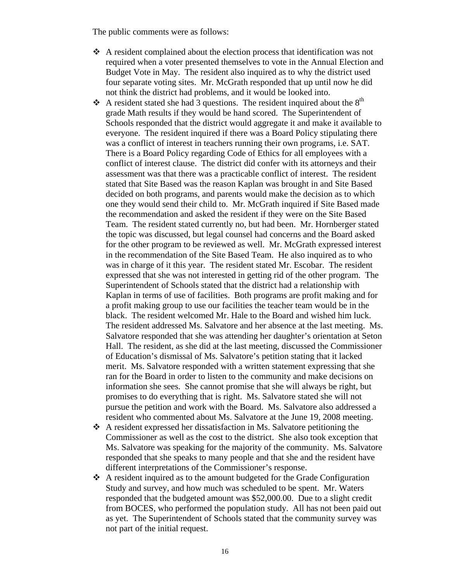The public comments were as follows:

- $\triangle$  A resident complained about the election process that identification was not required when a voter presented themselves to vote in the Annual Election and Budget Vote in May. The resident also inquired as to why the district used four separate voting sites. Mr. McGrath responded that up until now he did not think the district had problems, and it would be looked into.
- A resident stated she had 3 questions. The resident inquired about the  $8<sup>th</sup>$ grade Math results if they would be hand scored. The Superintendent of Schools responded that the district would aggregate it and make it available to everyone. The resident inquired if there was a Board Policy stipulating there was a conflict of interest in teachers running their own programs, i.e. SAT. There is a Board Policy regarding Code of Ethics for all employees with a conflict of interest clause. The district did confer with its attorneys and their assessment was that there was a practicable conflict of interest. The resident stated that Site Based was the reason Kaplan was brought in and Site Based decided on both programs, and parents would make the decision as to which one they would send their child to. Mr. McGrath inquired if Site Based made the recommendation and asked the resident if they were on the Site Based Team. The resident stated currently no, but had been. Mr. Hornberger stated the topic was discussed, but legal counsel had concerns and the Board asked for the other program to be reviewed as well. Mr. McGrath expressed interest in the recommendation of the Site Based Team. He also inquired as to who was in charge of it this year. The resident stated Mr. Escobar. The resident expressed that she was not interested in getting rid of the other program. The Superintendent of Schools stated that the district had a relationship with Kaplan in terms of use of facilities. Both programs are profit making and for a profit making group to use our facilities the teacher team would be in the black. The resident welcomed Mr. Hale to the Board and wished him luck. The resident addressed Ms. Salvatore and her absence at the last meeting. Ms. Salvatore responded that she was attending her daughter's orientation at Seton Hall. The resident, as she did at the last meeting, discussed the Commissioner of Education's dismissal of Ms. Salvatore's petition stating that it lacked merit. Ms. Salvatore responded with a written statement expressing that she ran for the Board in order to listen to the community and make decisions on information she sees. She cannot promise that she will always be right, but promises to do everything that is right. Ms. Salvatore stated she will not pursue the petition and work with the Board. Ms. Salvatore also addressed a resident who commented about Ms. Salvatore at the June 19, 2008 meeting.
- A resident expressed her dissatisfaction in Ms. Salvatore petitioning the Commissioner as well as the cost to the district. She also took exception that Ms. Salvatore was speaking for the majority of the community. Ms. Salvatore responded that she speaks to many people and that she and the resident have different interpretations of the Commissioner's response.
- $\triangle$  A resident inquired as to the amount budgeted for the Grade Configuration Study and survey, and how much was scheduled to be spent. Mr. Waters responded that the budgeted amount was \$52,000.00. Due to a slight credit from BOCES, who performed the population study. All has not been paid out as yet. The Superintendent of Schools stated that the community survey was not part of the initial request.